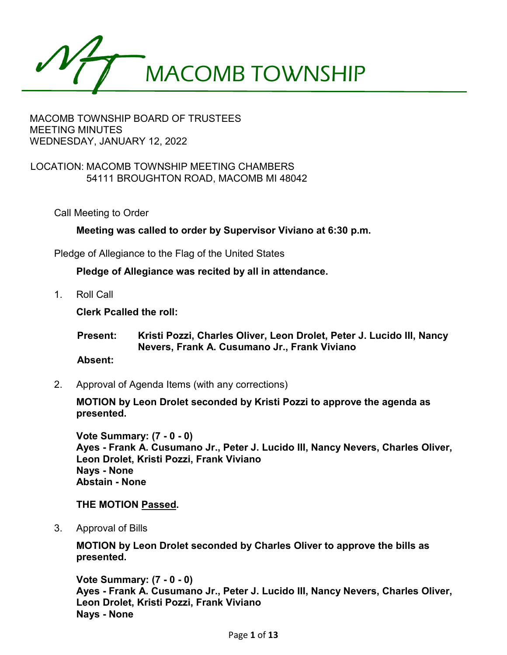

## LOCATION: MACOMB TOWNSHIP MEETING CHAMBERS 54111 BROUGHTON ROAD, MACOMB MI 48042

Call Meeting to Order

**Meeting was called to order by Supervisor Viviano at 6:30 p.m.**

Pledge of Allegiance to the Flag of the United States

**Pledge of Allegiance was recited by all in attendance.**

1. Roll Call

**Clerk Pcalled the roll:**

**Present: Kristi Pozzi, Charles Oliver, Leon Drolet, Peter J. Lucido III, Nancy Nevers, Frank A. Cusumano Jr., Frank Viviano**

**Absent:**

2. Approval of Agenda Items (with any corrections)

**MOTION by Leon Drolet seconded by Kristi Pozzi to approve the agenda as presented.**

**Vote Summary: (7 - 0 - 0) Ayes - Frank A. Cusumano Jr., Peter J. Lucido III, Nancy Nevers, Charles Oliver, Leon Drolet, Kristi Pozzi, Frank Viviano Nays - None Abstain - None**

### **THE MOTION Passed.**

3. Approval of Bills

**MOTION by Leon Drolet seconded by Charles Oliver to approve the bills as presented.**

**Vote Summary: (7 - 0 - 0) Ayes - Frank A. Cusumano Jr., Peter J. Lucido III, Nancy Nevers, Charles Oliver, Leon Drolet, Kristi Pozzi, Frank Viviano Nays - None**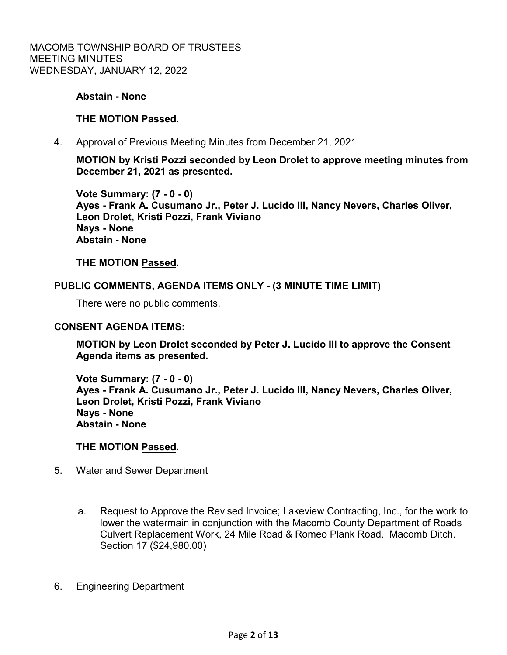### **Abstain - None**

## **THE MOTION Passed.**

4. Approval of Previous Meeting Minutes from December 21, 2021

**MOTION by Kristi Pozzi seconded by Leon Drolet to approve meeting minutes from December 21, 2021 as presented.**

**Vote Summary: (7 - 0 - 0) Ayes - Frank A. Cusumano Jr., Peter J. Lucido III, Nancy Nevers, Charles Oliver, Leon Drolet, Kristi Pozzi, Frank Viviano Nays - None Abstain - None**

**THE MOTION Passed.**

### **PUBLIC COMMENTS, AGENDA ITEMS ONLY - (3 MINUTE TIME LIMIT)**

There were no public comments.

#### **CONSENT AGENDA ITEMS:**

**MOTION by Leon Drolet seconded by Peter J. Lucido III to approve the Consent Agenda items as presented.**

**Vote Summary: (7 - 0 - 0) Ayes - Frank A. Cusumano Jr., Peter J. Lucido III, Nancy Nevers, Charles Oliver, Leon Drolet, Kristi Pozzi, Frank Viviano Nays - None Abstain - None**

### **THE MOTION Passed.**

- 5. Water and Sewer Department
	- a. Request to Approve the Revised Invoice; Lakeview Contracting, Inc., for the work to lower the watermain in conjunction with the Macomb County Department of Roads Culvert Replacement Work, 24 Mile Road & Romeo Plank Road. Macomb Ditch. Section 17 (\$24,980.00)
- 6. Engineering Department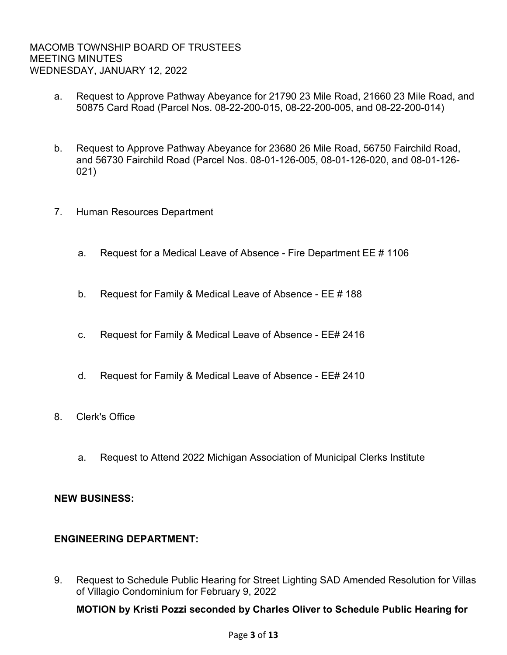- a. Request to Approve Pathway Abeyance for 21790 23 Mile Road, 21660 23 Mile Road, and 50875 Card Road (Parcel Nos. 08-22-200-015, 08-22-200-005, and 08-22-200-014)
- b. Request to Approve Pathway Abeyance for 23680 26 Mile Road, 56750 Fairchild Road, and 56730 Fairchild Road (Parcel Nos. 08-01-126-005, 08-01-126-020, and 08-01-126- 021)
- 7. Human Resources Department
	- a. Request for a Medical Leave of Absence Fire Department EE # 1106
	- b. Request for Family & Medical Leave of Absence EE # 188
	- c. Request for Family & Medical Leave of Absence EE# 2416
	- d. Request for Family & Medical Leave of Absence EE# 2410
- 8. Clerk's Office
	- a. Request to Attend 2022 Michigan Association of Municipal Clerks Institute

## **NEW BUSINESS:**

## **ENGINEERING DEPARTMENT:**

9. Request to Schedule Public Hearing for Street Lighting SAD Amended Resolution for Villas of Villagio Condominium for February 9, 2022

## **MOTION by Kristi Pozzi seconded by Charles Oliver to Schedule Public Hearing for**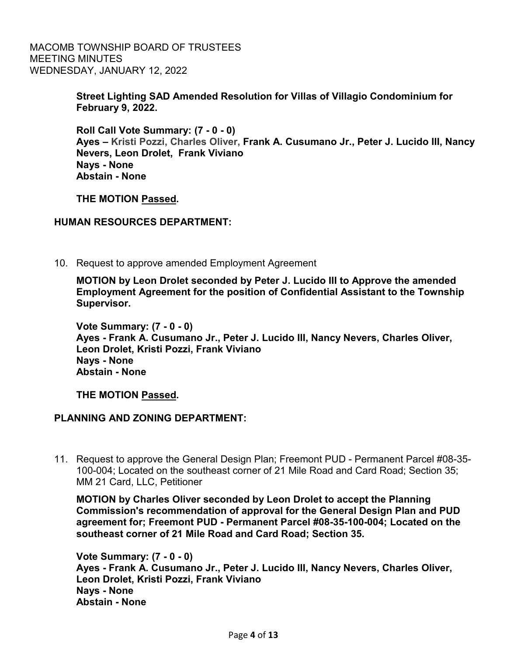> **Street Lighting SAD Amended Resolution for Villas of Villagio Condominium for February 9, 2022.**

**Roll Call Vote Summary: (7 - 0 - 0) Ayes – Kristi Pozzi, Charles Oliver, Frank A. Cusumano Jr., Peter J. Lucido III, Nancy Nevers, Leon Drolet, Frank Viviano Nays - None Abstain - None**

**THE MOTION Passed.**

## **HUMAN RESOURCES DEPARTMENT:**

10. Request to approve amended Employment Agreement

**MOTION by Leon Drolet seconded by Peter J. Lucido III to Approve the amended Employment Agreement for the position of Confidential Assistant to the Township Supervisor.**

**Vote Summary: (7 - 0 - 0) Ayes - Frank A. Cusumano Jr., Peter J. Lucido III, Nancy Nevers, Charles Oliver, Leon Drolet, Kristi Pozzi, Frank Viviano Nays - None Abstain - None**

**THE MOTION Passed.**

## **PLANNING AND ZONING DEPARTMENT:**

11. Request to approve the General Design Plan; Freemont PUD - Permanent Parcel #08-35- 100-004; Located on the southeast corner of 21 Mile Road and Card Road; Section 35; MM 21 Card, LLC, Petitioner

**MOTION by Charles Oliver seconded by Leon Drolet to accept the Planning Commission's recommendation of approval for the General Design Plan and PUD agreement for; Freemont PUD - Permanent Parcel #08-35-100-004; Located on the southeast corner of 21 Mile Road and Card Road; Section 35.**

**Vote Summary: (7 - 0 - 0) Ayes - Frank A. Cusumano Jr., Peter J. Lucido III, Nancy Nevers, Charles Oliver, Leon Drolet, Kristi Pozzi, Frank Viviano Nays - None Abstain - None**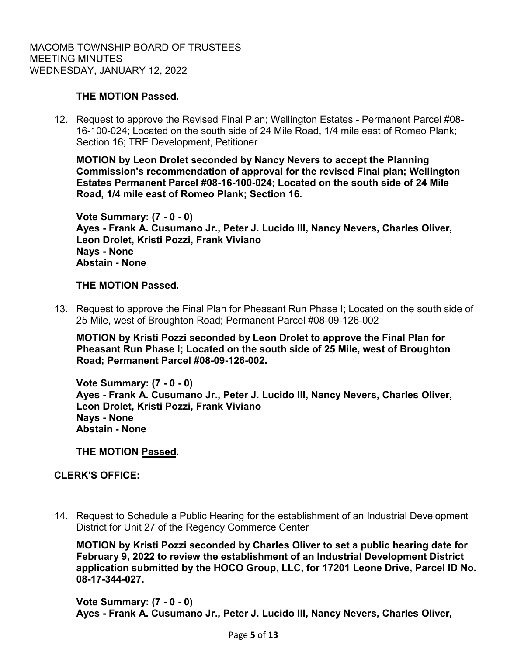## **THE MOTION Passed.**

12. Request to approve the Revised Final Plan; Wellington Estates - Permanent Parcel #08- 16-100-024; Located on the south side of 24 Mile Road, 1/4 mile east of Romeo Plank; Section 16; TRE Development, Petitioner

**MOTION by Leon Drolet seconded by Nancy Nevers to accept the Planning Commission's recommendation of approval for the revised Final plan; Wellington Estates Permanent Parcel #08-16-100-024; Located on the south side of 24 Mile Road, 1/4 mile east of Romeo Plank; Section 16.**

**Vote Summary: (7 - 0 - 0) Ayes - Frank A. Cusumano Jr., Peter J. Lucido III, Nancy Nevers, Charles Oliver, Leon Drolet, Kristi Pozzi, Frank Viviano Nays - None Abstain - None**

## **THE MOTION Passed.**

13. Request to approve the Final Plan for Pheasant Run Phase I; Located on the south side of 25 Mile, west of Broughton Road; Permanent Parcel #08-09-126-002

**MOTION by Kristi Pozzi seconded by Leon Drolet to approve the Final Plan for Pheasant Run Phase I; Located on the south side of 25 Mile, west of Broughton Road; Permanent Parcel #08-09-126-002.**

**Vote Summary: (7 - 0 - 0) Ayes - Frank A. Cusumano Jr., Peter J. Lucido III, Nancy Nevers, Charles Oliver, Leon Drolet, Kristi Pozzi, Frank Viviano Nays - None Abstain - None**

**THE MOTION Passed.**

## **CLERK'S OFFICE:**

14. Request to Schedule a Public Hearing for the establishment of an Industrial Development District for Unit 27 of the Regency Commerce Center

**MOTION by Kristi Pozzi seconded by Charles Oliver to set a public hearing date for February 9, 2022 to review the establishment of an Industrial Development District application submitted by the HOCO Group, LLC, for 17201 Leone Drive, Parcel ID No. 08-17-344-027.**

**Vote Summary: (7 - 0 - 0) Ayes - Frank A. Cusumano Jr., Peter J. Lucido III, Nancy Nevers, Charles Oliver,**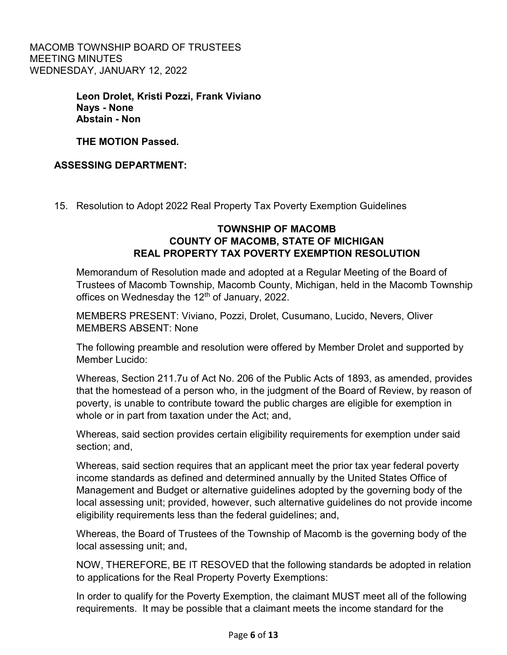> **Leon Drolet, Kristi Pozzi, Frank Viviano Nays - None Abstain - Non**

**THE MOTION Passed.**

# **ASSESSING DEPARTMENT:**

15. Resolution to Adopt 2022 Real Property Tax Poverty Exemption Guidelines

# **TOWNSHIP OF MACOMB COUNTY OF MACOMB, STATE OF MICHIGAN REAL PROPERTY TAX POVERTY EXEMPTION RESOLUTION**

Memorandum of Resolution made and adopted at a Regular Meeting of the Board of Trustees of Macomb Township, Macomb County, Michigan, held in the Macomb Township offices on Wednesday the  $12<sup>th</sup>$  of January, 2022.

MEMBERS PRESENT: Viviano, Pozzi, Drolet, Cusumano, Lucido, Nevers, Oliver MEMBERS ABSENT: None

The following preamble and resolution were offered by Member Drolet and supported by Member Lucido:

Whereas, Section 211.7u of Act No. 206 of the Public Acts of 1893, as amended, provides that the homestead of a person who, in the judgment of the Board of Review, by reason of poverty, is unable to contribute toward the public charges are eligible for exemption in whole or in part from taxation under the Act; and,

Whereas, said section provides certain eligibility requirements for exemption under said section; and,

Whereas, said section requires that an applicant meet the prior tax year federal poverty income standards as defined and determined annually by the United States Office of Management and Budget or alternative guidelines adopted by the governing body of the local assessing unit; provided, however, such alternative guidelines do not provide income eligibility requirements less than the federal guidelines; and,

Whereas, the Board of Trustees of the Township of Macomb is the governing body of the local assessing unit; and,

NOW, THEREFORE, BE IT RESOVED that the following standards be adopted in relation to applications for the Real Property Poverty Exemptions:

In order to qualify for the Poverty Exemption, the claimant MUST meet all of the following requirements. It may be possible that a claimant meets the income standard for the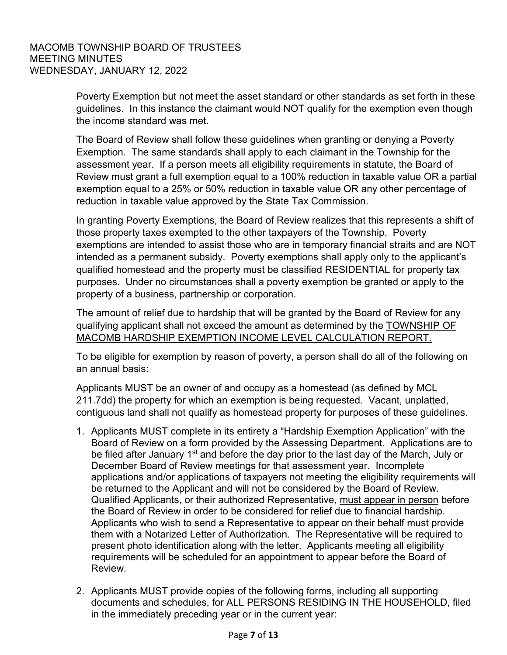Poverty Exemption but not meet the asset standard or other standards as set forth in these guidelines. In this instance the claimant would NOT qualify for the exemption even though the income standard was met.

The Board of Review shall follow these guidelines when granting or denying a Poverty Exemption. The same standards shall apply to each claimant in the Township for the assessment year. If a person meets all eligibility requirements in statute, the Board of Review must grant a full exemption equal to a 100% reduction in taxable value OR a partial exemption equal to a 25% or 50% reduction in taxable value OR any other percentage of reduction in taxable value approved by the State Tax Commission.

In granting Poverty Exemptions, the Board of Review realizes that this represents a shift of those property taxes exempted to the other taxpayers of the Township. Poverty exemptions are intended to assist those who are in temporary financial straits and are NOT intended as a permanent subsidy. Poverty exemptions shall apply only to the applicant's qualified homestead and the property must be classified RESIDENTIAL for property tax purposes. Under no circumstances shall a poverty exemption be granted or apply to the property of a business, partnership or corporation.

The amount of relief due to hardship that will be granted by the Board of Review for any qualifying applicant shall not exceed the amount as determined by the TOWNSHIP OF MACOMB HARDSHIP EXEMPTION INCOME LEVEL CALCULATION REPORT.

To be eligible for exemption by reason of poverty, a person shall do all of the following on an annual basis:

Applicants MUST be an owner of and occupy as a homestead (as defined by MCL 211.7dd) the property for which an exemption is being requested. Vacant, unplatted, contiguous land shall not qualify as homestead property for purposes of these guidelines.

- 1. Applicants MUST complete in its entirety a "Hardship Exemption Application" with the Board of Review on a form provided by the Assessing Department. Applications are to be filed after January 1<sup>st</sup> and before the day prior to the last day of the March, July or December Board of Review meetings for that assessment year. Incomplete applications and/or applications of taxpayers not meeting the eligibility requirements will be returned to the Applicant and will not be considered by the Board of Review. Qualified Applicants, or their authorized Representative, must appear in person before the Board of Review in order to be considered for relief due to financial hardship. Applicants who wish to send a Representative to appear on their behalf must provide them with a Notarized Letter of Authorization. The Representative will be required to present photo identification along with the letter. Applicants meeting all eligibility requirements will be scheduled for an appointment to appear before the Board of Review.
- 2. Applicants MUST provide copies of the following forms, including all supporting documents and schedules, for ALL PERSONS RESIDING IN THE HOUSEHOLD, filed in the immediately preceding year or in the current year: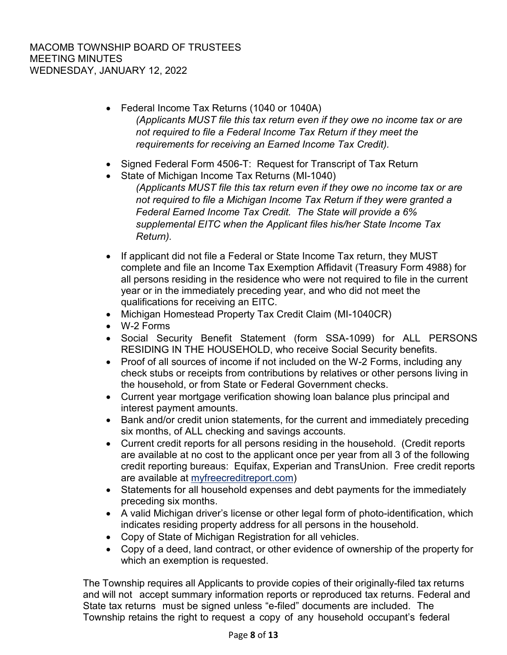- Federal Income Tax Returns (1040 or 1040A) *(Applicants MUST file this tax return even if they owe no income tax or are not required to file a Federal Income Tax Return if they meet the requirements for receiving an Earned Income Tax Credit).*
- Signed Federal Form 4506-T: Request for Transcript of Tax Return
- State of Michigan Income Tax Returns (MI-1040) *(Applicants MUST file this tax return even if they owe no income tax or are not required to file a Michigan Income Tax Return if they were granted a Federal Earned Income Tax Credit. The State will provide a 6% supplemental EITC when the Applicant files his/her State Income Tax Return).*
- If applicant did not file a Federal or State Income Tax return, they MUST complete and file an Income Tax Exemption Affidavit (Treasury Form 4988) for all persons residing in the residence who were not required to file in the current year or in the immediately preceding year, and who did not meet the qualifications for receiving an EITC.
- Michigan Homestead Property Tax Credit Claim (MI-1040CR)
- W-2 Forms
- Social Security Benefit Statement (form SSA-1099) for ALL PERSONS RESIDING IN THE HOUSEHOLD, who receive Social Security benefits.
- Proof of all sources of income if not included on the W-2 Forms, including any check stubs or receipts from contributions by relatives or other persons living in the household, or from State or Federal Government checks.
- Current year mortgage verification showing loan balance plus principal and interest payment amounts.
- Bank and/or credit union statements, for the current and immediately preceding six months, of ALL checking and savings accounts.
- Current credit reports for all persons residing in the household. (Credit reports are available at no cost to the applicant once per year from all 3 of the following credit reporting bureaus: Equifax, Experian and TransUnion. Free credit reports are available at myfreecreditreport.com)
- Statements for all household expenses and debt payments for the immediately preceding six months.
- A valid Michigan driver's license or other legal form of photo-identification, which indicates residing property address for all persons in the household.
- Copy of State of Michigan Registration for all vehicles.
- Copy of a deed, land contract, or other evidence of ownership of the property for which an exemption is requested.

The Township requires all Applicants to provide copies of their originally-filed tax returns and will not accept summary information reports or reproduced tax returns. Federal and State tax returns must be signed unless "e-filed" documents are included. The Township retains the right to request a copy of any household occupant's federal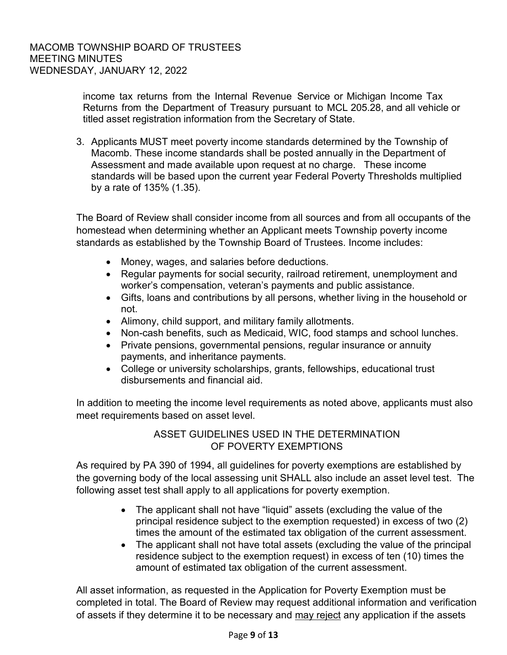income tax returns from the Internal Revenue Service or Michigan Income Tax Returns from the Department of Treasury pursuant to MCL 205.28, and all vehicle or titled asset registration information from the Secretary of State.

3. Applicants MUST meet poverty income standards determined by the Township of Macomb. These income standards shall be posted annually in the Department of Assessment and made available upon request at no charge. These income standards will be based upon the current year Federal Poverty Thresholds multiplied by a rate of 135% (1.35).

The Board of Review shall consider income from all sources and from all occupants of the homestead when determining whether an Applicant meets Township poverty income standards as established by the Township Board of Trustees. Income includes:

- Money, wages, and salaries before deductions.
- Regular payments for social security, railroad retirement, unemployment and worker's compensation, veteran's payments and public assistance.
- Gifts, loans and contributions by all persons, whether living in the household or not.
- Alimony, child support, and military family allotments.
- Non-cash benefits, such as Medicaid, WIC, food stamps and school lunches.
- Private pensions, governmental pensions, regular insurance or annuity payments, and inheritance payments.
- College or university scholarships, grants, fellowships, educational trust disbursements and financial aid.

In addition to meeting the income level requirements as noted above, applicants must also meet requirements based on asset level.

# ASSET GUIDELINES USED IN THE DETERMINATION OF POVERTY EXEMPTIONS

As required by PA 390 of 1994, all guidelines for poverty exemptions are established by the governing body of the local assessing unit SHALL also include an asset level test. The following asset test shall apply to all applications for poverty exemption.

- The applicant shall not have "liquid" assets (excluding the value of the principal residence subject to the exemption requested) in excess of two (2) times the amount of the estimated tax obligation of the current assessment.
- The applicant shall not have total assets (excluding the value of the principal residence subject to the exemption request) in excess of ten (10) times the amount of estimated tax obligation of the current assessment.

All asset information, as requested in the Application for Poverty Exemption must be completed in total. The Board of Review may request additional information and verification of assets if they determine it to be necessary and may reject any application if the assets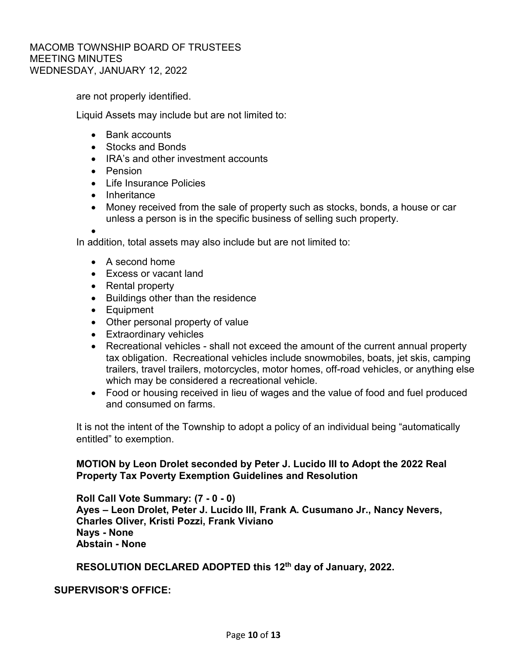are not properly identified.

Liquid Assets may include but are not limited to:

- Bank accounts
- Stocks and Bonds
- IRA's and other investment accounts
- Pension
- Life Insurance Policies
- Inheritance
- Money received from the sale of property such as stocks, bonds, a house or car unless a person is in the specific business of selling such property.

•

In addition, total assets may also include but are not limited to:

- A second home
- Excess or vacant land
- Rental property
- Buildings other than the residence
- Equipment
- Other personal property of value
- Extraordinary vehicles
- Recreational vehicles shall not exceed the amount of the current annual property tax obligation. Recreational vehicles include snowmobiles, boats, jet skis, camping trailers, travel trailers, motorcycles, motor homes, off-road vehicles, or anything else which may be considered a recreational vehicle.
- Food or housing received in lieu of wages and the value of food and fuel produced and consumed on farms.

It is not the intent of the Township to adopt a policy of an individual being "automatically entitled" to exemption.

## **MOTION by Leon Drolet seconded by Peter J. Lucido III to Adopt the 2022 Real Property Tax Poverty Exemption Guidelines and Resolution**

**Roll Call Vote Summary: (7 - 0 - 0) Ayes – Leon Drolet, Peter J. Lucido III, Frank A. Cusumano Jr., Nancy Nevers, Charles Oliver, Kristi Pozzi, Frank Viviano Nays - None Abstain - None**

# **RESOLUTION DECLARED ADOPTED this 12th day of January, 2022.**

**SUPERVISOR'S OFFICE:**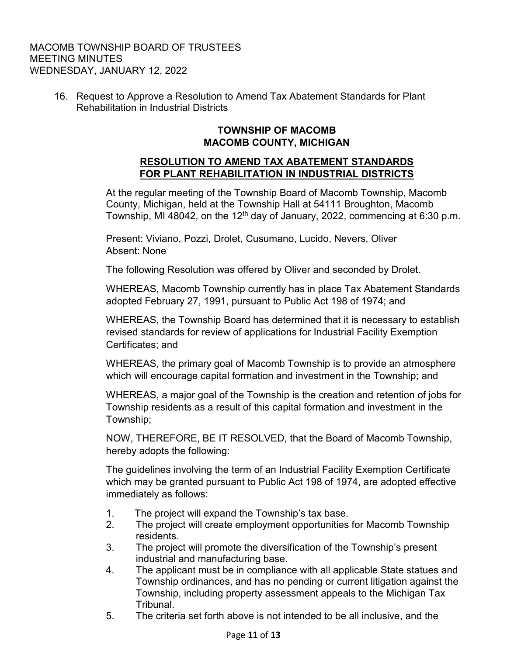16. Request to Approve a Resolution to Amend Tax Abatement Standards for Plant Rehabilitation in Industrial Districts

# **TOWNSHIP OF MACOMB MACOMB COUNTY, MICHIGAN**

# **RESOLUTION TO AMEND TAX ABATEMENT STANDARDS FOR PLANT REHABILITATION IN INDUSTRIAL DISTRICTS**

At the regular meeting of the Township Board of Macomb Township, Macomb County, Michigan, held at the Township Hall at 54111 Broughton, Macomb Township, MI 48042, on the 12<sup>th</sup> day of January, 2022, commencing at 6:30 p.m.

Present: Viviano, Pozzi, Drolet, Cusumano, Lucido, Nevers, Oliver Absent: None

The following Resolution was offered by Oliver and seconded by Drolet.

WHEREAS, Macomb Township currently has in place Tax Abatement Standards adopted February 27, 1991, pursuant to Public Act 198 of 1974; and

WHEREAS, the Township Board has determined that it is necessary to establish revised standards for review of applications for Industrial Facility Exemption Certificates; and

WHEREAS, the primary goal of Macomb Township is to provide an atmosphere which will encourage capital formation and investment in the Township; and

WHEREAS, a major goal of the Township is the creation and retention of jobs for Township residents as a result of this capital formation and investment in the Township;

NOW, THEREFORE, BE IT RESOLVED, that the Board of Macomb Township, hereby adopts the following:

The guidelines involving the term of an Industrial Facility Exemption Certificate which may be granted pursuant to Public Act 198 of 1974, are adopted effective immediately as follows:

- 1. The project will expand the Township's tax base.
- 2. The project will create employment opportunities for Macomb Township residents.
- 3. The project will promote the diversification of the Township's present industrial and manufacturing base.
- 4. The applicant must be in compliance with all applicable State statues and Township ordinances, and has no pending or current litigation against the Township, including property assessment appeals to the Michigan Tax Tribunal.
- 5. The criteria set forth above is not intended to be all inclusive, and the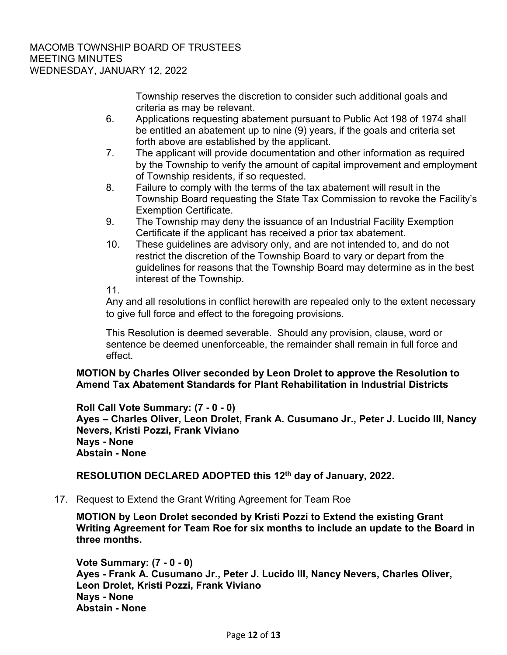Township reserves the discretion to consider such additional goals and criteria as may be relevant.

- 6. Applications requesting abatement pursuant to Public Act 198 of 1974 shall be entitled an abatement up to nine (9) years, if the goals and criteria set forth above are established by the applicant.
- 7. The applicant will provide documentation and other information as required by the Township to verify the amount of capital improvement and employment of Township residents, if so requested.
- 8. Failure to comply with the terms of the tax abatement will result in the Township Board requesting the State Tax Commission to revoke the Facility's Exemption Certificate.
- 9. The Township may deny the issuance of an Industrial Facility Exemption Certificate if the applicant has received a prior tax abatement.
- 10. These guidelines are advisory only, and are not intended to, and do not restrict the discretion of the Township Board to vary or depart from the guidelines for reasons that the Township Board may determine as in the best interest of the Township.

11.

Any and all resolutions in conflict herewith are repealed only to the extent necessary to give full force and effect to the foregoing provisions.

This Resolution is deemed severable. Should any provision, clause, word or sentence be deemed unenforceable, the remainder shall remain in full force and effect.

**MOTION by Charles Oliver seconded by Leon Drolet to approve the Resolution to Amend Tax Abatement Standards for Plant Rehabilitation in Industrial Districts**

**Roll Call Vote Summary: (7 - 0 - 0) Ayes – Charles Oliver, Leon Drolet, Frank A. Cusumano Jr., Peter J. Lucido III, Nancy Nevers, Kristi Pozzi, Frank Viviano Nays - None Abstain - None**

**RESOLUTION DECLARED ADOPTED this 12th day of January, 2022.**

17. Request to Extend the Grant Writing Agreement for Team Roe

**MOTION by Leon Drolet seconded by Kristi Pozzi to Extend the existing Grant Writing Agreement for Team Roe for six months to include an update to the Board in three months.**

**Vote Summary: (7 - 0 - 0) Ayes - Frank A. Cusumano Jr., Peter J. Lucido III, Nancy Nevers, Charles Oliver, Leon Drolet, Kristi Pozzi, Frank Viviano Nays - None Abstain - None**